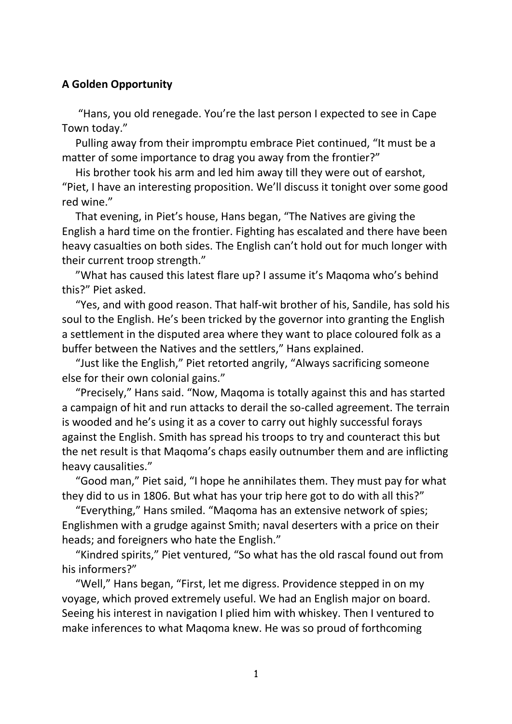## **A Golden Opportunity**

 "Hans, you old renegade. You're the last person I expected to see in Cape Town today."

 Pulling away from their impromptu embrace Piet continued, "It must be a matter of some importance to drag you away from the frontier?"

 His brother took his arm and led him away till they were out of earshot, "Piet, I have an interesting proposition. We'll discuss it tonight over some good red wine."

 That evening, in Piet's house, Hans began, "The Natives are giving the English a hard time on the frontier. Fighting has escalated and there have been heavy casualties on both sides. The English can't hold out for much longer with their current troop strength."

 "What has caused this latest flare up? I assume it's Maqoma who's behind this?" Piet asked.

 "Yes, and with good reason. That half-wit brother of his, Sandile, has sold his soul to the English. He's been tricked by the governor into granting the English a settlement in the disputed area where they want to place coloured folk as a buffer between the Natives and the settlers," Hans explained.

 "Just like the English," Piet retorted angrily, "Always sacrificing someone else for their own colonial gains."

 "Precisely," Hans said. "Now, Maqoma is totally against this and has started a campaign of hit and run attacks to derail the so-called agreement. The terrain is wooded and he's using it as a cover to carry out highly successful forays against the English. Smith has spread his troops to try and counteract this but the net result is that Maqoma's chaps easily outnumber them and are inflicting heavy causalities."

 "Good man," Piet said, "I hope he annihilates them. They must pay for what they did to us in 1806. But what has your trip here got to do with all this?"

 "Everything," Hans smiled. "Maqoma has an extensive network of spies; Englishmen with a grudge against Smith; naval deserters with a price on their heads; and foreigners who hate the English."

 "Kindred spirits," Piet ventured, "So what has the old rascal found out from his informers?"

 "Well," Hans began, "First, let me digress. Providence stepped in on my voyage, which proved extremely useful. We had an English major on board. Seeing his interest in navigation I plied him with whiskey. Then I ventured to make inferences to what Maqoma knew. He was so proud of forthcoming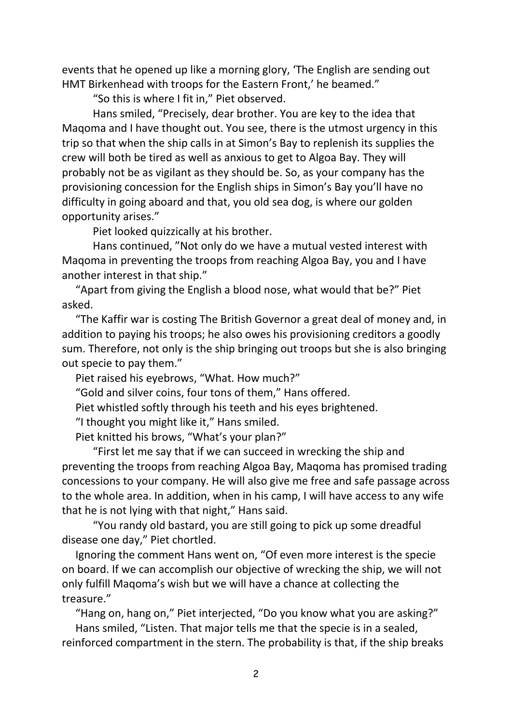events that he opened up like a morning glory, 'The English are sending out HMT Birkenhead with troops for the Eastern Front,' he beamed."

"So this is where I fit in," Piet observed.

Hans smiled, "Precisely, dear brother. You are key to the idea that Maqoma and I have thought out. You see, there is the utmost urgency in this trip so that when the ship calls in at Simon's Bay to replenish its supplies the crew will both be tired as well as anxious to get to Algoa Bay. They will probably not be as vigilant as they should be. So, as your company has the provisioning concession for the English ships in Simon's Bay you'll have no difficulty in going aboard and that, you old sea dog, is where our golden opportunity arises."

Piet looked quizzically at his brother.

Hans continued, "Not only do we have a mutual vested interest with Maqoma in preventing the troops from reaching Algoa Bay, you and I have another interest in that ship."

 "Apart from giving the English a blood nose, what would that be?" Piet asked.

 "The Kaffir war is costing The British Governor a great deal of money and, in addition to paying his troops; he also owes his provisioning creditors a goodly sum. Therefore, not only is the ship bringing out troops but she is also bringing out specie to pay them."

Piet raised his eyebrows, "What. How much?"

"Gold and silver coins, four tons of them," Hans offered.

Piet whistled softly through his teeth and his eyes brightened.

"I thought you might like it," Hans smiled.

Piet knitted his brows, "What's your plan?"

"First let me say that if we can succeed in wrecking the ship and preventing the troops from reaching Algoa Bay, Maqoma has promised trading concessions to your company. He will also give me free and safe passage across to the whole area. In addition, when in his camp, I will have access to any wife that he is not lying with that night," Hans said.

"You randy old bastard, you are still going to pick up some dreadful disease one day," Piet chortled.

 Ignoring the comment Hans went on, "Of even more interest is the specie on board. If we can accomplish our objective of wrecking the ship, we will not only fulfill Maqoma's wish but we will have a chance at collecting the treasure."

 "Hang on, hang on," Piet interjected, "Do you know what you are asking?" Hans smiled, "Listen. That major tells me that the specie is in a sealed, reinforced compartment in the stern. The probability is that, if the ship breaks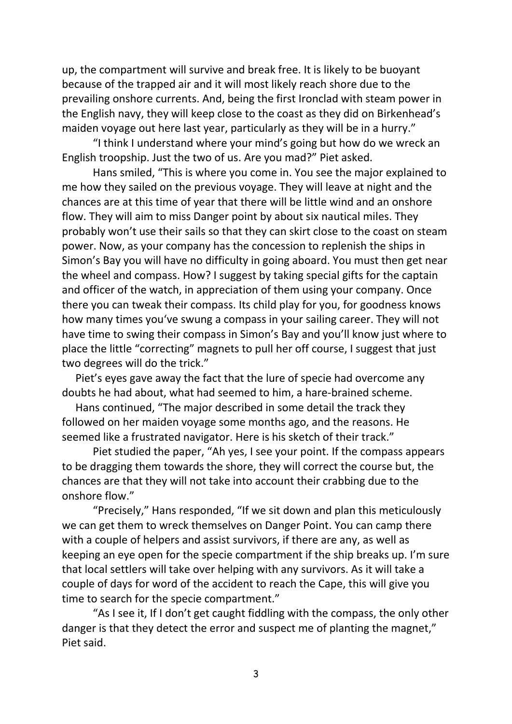up, the compartment will survive and break free. It is likely to be buoyant because of the trapped air and it will most likely reach shore due to the prevailing onshore currents. And, being the first Ironclad with steam power in the English navy, they will keep close to the coast as they did on Birkenhead's maiden voyage out here last year, particularly as they will be in a hurry."

"I think I understand where your mind's going but how do we wreck an English troopship. Just the two of us. Are you mad?" Piet asked.

Hans smiled, "This is where you come in. You see the major explained to me how they sailed on the previous voyage. They will leave at night and the chances are at this time of year that there will be little wind and an onshore flow. They will aim to miss Danger point by about six nautical miles. They probably won't use their sails so that they can skirt close to the coast on steam power. Now, as your company has the concession to replenish the ships in Simon's Bay you will have no difficulty in going aboard. You must then get near the wheel and compass. How? I suggest by taking special gifts for the captain and officer of the watch, in appreciation of them using your company. Once there you can tweak their compass. Its child play for you, for goodness knows how many times you've swung a compass in your sailing career. They will not have time to swing their compass in Simon's Bay and you'll know just where to place the little "correcting" magnets to pull her off course, I suggest that just two degrees will do the trick."

 Piet's eyes gave away the fact that the lure of specie had overcome any doubts he had about, what had seemed to him, a hare-brained scheme.

 Hans continued, "The major described in some detail the track they followed on her maiden voyage some months ago, and the reasons. He seemed like a frustrated navigator. Here is his sketch of their track."

Piet studied the paper, "Ah yes, I see your point. If the compass appears to be dragging them towards the shore, they will correct the course but, the chances are that they will not take into account their crabbing due to the onshore flow."

"Precisely," Hans responded, "If we sit down and plan this meticulously we can get them to wreck themselves on Danger Point. You can camp there with a couple of helpers and assist survivors, if there are any, as well as keeping an eye open for the specie compartment if the ship breaks up. I'm sure that local settlers will take over helping with any survivors. As it will take a couple of days for word of the accident to reach the Cape, this will give you time to search for the specie compartment."

"As I see it, If I don't get caught fiddling with the compass, the only other danger is that they detect the error and suspect me of planting the magnet," Piet said.